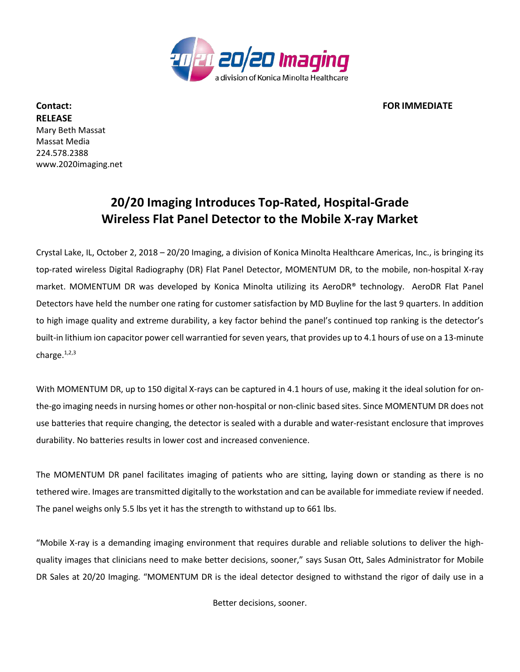

**Contact: FOR IMMEDIATE RELEASE** Mary Beth Massat Massat Media 224.578.2388 www.2020imaging.net

## **20/20 Imaging Introduces Top-Rated, Hospital-Grade Wireless Flat Panel Detector to the Mobile X-ray Market**

Crystal Lake, IL, October 2, 2018 – 20/20 Imaging, a division of Konica Minolta Healthcare Americas, Inc., is bringing its top-rated wireless Digital Radiography (DR) Flat Panel Detector, MOMENTUM DR, to the mobile, non-hospital X-ray market. MOMENTUM DR was developed by Konica Minolta utilizing its AeroDR® technology. AeroDR Flat Panel Detectors have held the number one rating for customer satisfaction by MD Buyline for the last 9 quarters. In addition to high image quality and extreme durability, a key factor behind the panel's continued top ranking is the detector's built-in lithium ion capacitor power cell warrantied for seven years, that provides up to 4.1 hours of use on a 13-minute charge.<sup>1,2,3</sup>

With MOMENTUM DR, up to 150 digital X-rays can be captured in 4.1 hours of use, making it the ideal solution for onthe-go imaging needs in nursing homes or other non-hospital or non-clinic based sites. Since MOMENTUM DR does not use batteries that require changing, the detector is sealed with a durable and water-resistant enclosure that improves durability. No batteries results in lower cost and increased convenience.

The MOMENTUM DR panel facilitates imaging of patients who are sitting, laying down or standing as there is no tethered wire. Images are transmitted digitally to the workstation and can be available for immediate review if needed. The panel weighs only 5.5 lbs yet it has the strength to withstand up to 661 lbs.

"Mobile X-ray is a demanding imaging environment that requires durable and reliable solutions to deliver the highquality images that clinicians need to make better decisions, sooner," says Susan Ott, Sales Administrator for Mobile DR Sales at 20/20 Imaging. "MOMENTUM DR is the ideal detector designed to withstand the rigor of daily use in a

Better decisions, sooner.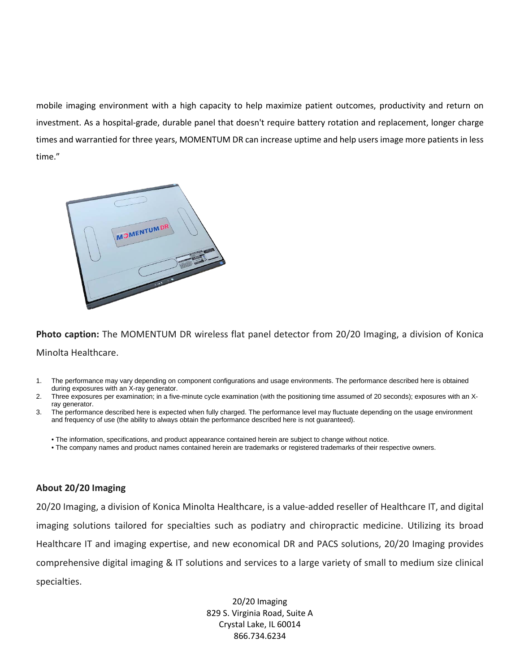mobile imaging environment with a high capacity to help maximize patient outcomes, productivity and return on investment. As a hospital-grade, durable panel that doesn't require battery rotation and replacement, longer charge times and warrantied for three years, MOMENTUM DR can increase uptime and help users image more patients in less time."



**Photo caption:** The MOMENTUM DR wireless flat panel detector from 20/20 Imaging, a division of Konica Minolta Healthcare.

- 1. The performance may vary depending on component configurations and usage environments. The performance described here is obtained during exposures with an X-ray generator.
- 2. Three exposures per examination; in a five-minute cycle examination (with the positioning time assumed of 20 seconds); exposures with an Xray generator.
- 3. The performance described here is expected when fully charged. The performance level may fluctuate depending on the usage environment and frequency of use (the ability to always obtain the performance described here is not guaranteed).
	- The information, specifications, and product appearance contained herein are subject to change without notice.
	- The company names and product names contained herein are trademarks or registered trademarks of their respective owners.

## **About 20/20 Imaging**

20/20 Imaging, a division of Konica Minolta Healthcare, is a value-added reseller of Healthcare IT, and digital imaging solutions tailored for specialties such as podiatry and chiropractic medicine. Utilizing its broad Healthcare IT and imaging expertise, and new economical DR and PACS solutions, 20/20 Imaging provides comprehensive digital imaging & IT solutions and services to a large variety of small to medium size clinical specialties.

> 20/20 Imaging 829 S. Virginia Road, Suite A Crystal Lake, IL 60014 866.734.6234